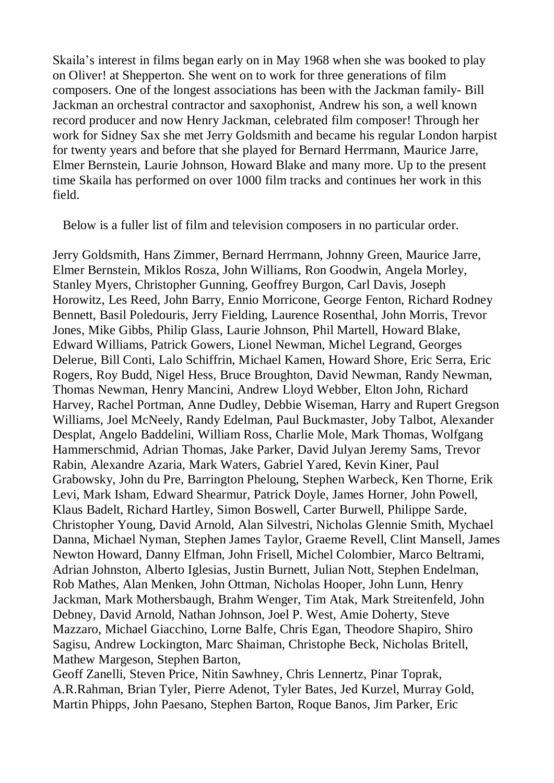Skaila's interest in films began early on in May 1968 when she was booked to play on Oliver! at Shepperton. She went on to work for three generations of film composers. One of the longest associations has been with the Jackman family- Bill Jackman an orchestral contractor and saxophonist, Andrew his son, a well known record producer and now Henry Jackman, celebrated film composer! Through her work for Sidney Sax she met Jerry Goldsmith and became his regular London harpist for twenty years and before that she played for Bernard Herrmann, Maurice Jarre, Elmer Bernstein, Laurie Johnson, Howard Blake and many more. Up to the present time Skaila has performed on over 1000 film tracks and continues her work in this field.

Below is a fuller list of film and television composers in no particular order.

Jerry Goldsmith, Hans Zimmer, Bernard Herrmann, Johnny Green, Maurice Jarre, Elmer Bernstein, Miklos Rosza, John Williams, Ron Goodwin, Angela Morley, Stanley Myers, Christopher Gunning, Geoffrey Burgon, Carl Davis, Joseph Horowitz, Les Reed, John Barry, Ennio Morricone, George Fenton, Richard Rodney Bennett, Basil Poledouris, Jerry Fielding, Laurence Rosenthal, John Morris, Trevor Jones, Mike Gibbs, Philip Glass, Laurie Johnson, Phil Martell, Howard Blake, Edward Williams, Patrick Gowers, Lionel Newman, Michel Legrand, Georges Delerue, Bill Conti, Lalo Schiffrin, Michael Kamen, Howard Shore, Eric Serra, Eric Rogers, Roy Budd, Nigel Hess, Bruce Broughton, David Newman, Randy Newman, Thomas Newman, Henry Mancini, Andrew Lloyd Webber, Elton John, Richard Harvey, Rachel Portman, Anne Dudley, Debbie Wiseman, Harry and Rupert Gregson Williams, Joel McNeely, Randy Edelman, Paul Buckmaster, Joby Talbot, Alexander Desplat, Angelo Baddelini, William Ross, Charlie Mole, Mark Thomas, Wolfgang Hammerschmid, Adrian Thomas, Jake Parker, David Julyan Jeremy Sams, Trevor Rabin, Alexandre Azaria, Mark Waters, Gabriel Yared, Kevin Kiner, Paul Grabowsky, John du Pre, Barrington Pheloung, Stephen Warbeck, Ken Thorne, Erik Levi, Mark Isham, Edward Shearmur, Patrick Doyle, James Horner, John Powell, Klaus Badelt, Richard Hartley, Simon Boswell, Carter Burwell, Philippe Sarde, Christopher Young, David Arnold, Alan Silvestri, Nicholas Glennie Smith, Mychael Danna, Michael Nyman, Stephen James Taylor, Graeme Revell, Clint Mansell, James Newton Howard, Danny Elfman, John Frisell, Michel Colombier, Marco Beltrami, Adrian Johnston, Alberto Iglesias, Justin Burnett, Julian Nott, Stephen Endelman, Rob Mathes, Alan Menken, John Ottman, Nicholas Hooper, John Lunn, Henry Jackman, Mark Mothersbaugh, Brahm Wenger, Tim Atak, Mark Streitenfeld, John Debney, David Arnold, Nathan Johnson, Joel P. West, Amie Doherty, Steve Mazzaro, Michael Giacchino, Lorne Balfe, Chris Egan, Theodore Shapiro, Shiro Sagisu, Andrew Lockington, Marc Shaiman, Christophe Beck, Nicholas Britell, Mathew Margeson, Stephen Barton,

Geoff Zanelli, Steven Price, Nitin Sawhney, Chris Lennertz, Pinar Toprak, A.R.Rahman, Brian Tyler, Pierre Adenot, Tyler Bates, Jed Kurzel, Murray Gold, Martin Phipps, John Paesano, Stephen Barton, Roque Banos, Jim Parker, Eric